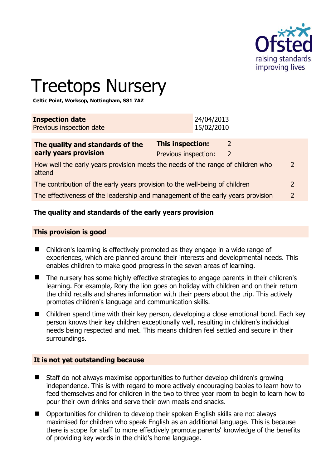

 $\overline{2}$ 

# Treetops Nursery

**Celtic Point, Worksop, Nottingham, S81 7AZ** 

| <b>Inspection date</b><br>Previous inspection date                                        |                                                 | 24/04/2013<br>15/02/2010 |                     |  |
|-------------------------------------------------------------------------------------------|-------------------------------------------------|--------------------------|---------------------|--|
| The quality and standards of the<br>early years provision                                 | <b>This inspection:</b><br>Previous inspection: |                          | 2<br>$\overline{2}$ |  |
| How well the early years provision meets the needs of the range of children who<br>attend |                                                 |                          |                     |  |
| The contribution of the early years provision to the well-being of children               |                                                 |                          |                     |  |
| The effectiveness of the leadership and management of the early years provision           |                                                 |                          |                     |  |

# **The quality and standards of the early years provision**

#### **This provision is good**

- Children's learning is effectively promoted as they engage in a wide range of experiences, which are planned around their interests and developmental needs. This enables children to make good progress in the seven areas of learning.
- The nursery has some highly effective strategies to engage parents in their children's learning. For example, Rory the lion goes on holiday with children and on their return the child recalls and shares information with their peers about the trip. This actively promotes children's language and communication skills.
- Children spend time with their key person, developing a close emotional bond. Each key person knows their key children exceptionally well, resulting in children's individual needs being respected and met. This means children feel settled and secure in their surroundings.

#### **It is not yet outstanding because**

- Staff do not always maximise opportunities to further develop children's growing independence. This is with regard to more actively encouraging babies to learn how to feed themselves and for children in the two to three year room to begin to learn how to pour their own drinks and serve their own meals and snacks.
- Opportunities for children to develop their spoken English skills are not always maximised for children who speak English as an additional language. This is because there is scope for staff to more effectively promote parents' knowledge of the benefits of providing key words in the child's home language.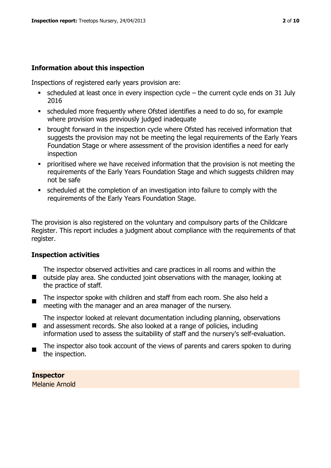## **Information about this inspection**

Inspections of registered early years provision are:

- $\bullet$  scheduled at least once in every inspection cycle the current cycle ends on 31 July 2016
- scheduled more frequently where Ofsted identifies a need to do so, for example where provision was previously judged inadequate
- **•** brought forward in the inspection cycle where Ofsted has received information that suggests the provision may not be meeting the legal requirements of the Early Years Foundation Stage or where assessment of the provision identifies a need for early inspection
- **Prioritised where we have received information that the provision is not meeting the** requirements of the Early Years Foundation Stage and which suggests children may not be safe
- scheduled at the completion of an investigation into failure to comply with the requirements of the Early Years Foundation Stage.

The provision is also registered on the voluntary and compulsory parts of the Childcare Register. This report includes a judgment about compliance with the requirements of that register.

#### **Inspection activities**

■ outside play area. She conducted joint observations with the manager, looking at The inspector observed activities and care practices in all rooms and within the the practice of staff.

 $\blacksquare$ The inspector spoke with children and staff from each room. She also held a meeting with the manager and an area manager of the nursery.

The inspector looked at relevant documentation including planning, observations

- $\blacksquare$ and assessment records. She also looked at a range of policies, including information used to assess the suitability of staff and the nursery's self-evaluation.
- The inspector also took account of the views of parents and carers spoken to during the inspection.

**Inspector**  Melanie Arnold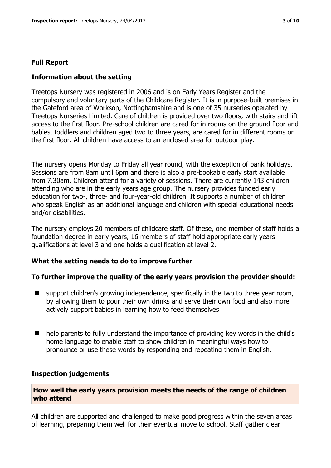### **Full Report**

#### **Information about the setting**

Treetops Nursery was registered in 2006 and is on Early Years Register and the compulsory and voluntary parts of the Childcare Register. It is in purpose-built premises in the Gateford area of Worksop, Nottinghamshire and is one of 35 nurseries operated by Treetops Nurseries Limited. Care of children is provided over two floors, with stairs and lift access to the first floor. Pre-school children are cared for in rooms on the ground floor and babies, toddlers and children aged two to three years, are cared for in different rooms on the first floor. All children have access to an enclosed area for outdoor play.

The nursery opens Monday to Friday all year round, with the exception of bank holidays. Sessions are from 8am until 6pm and there is also a pre-bookable early start available from 7.30am. Children attend for a variety of sessions. There are currently 143 children attending who are in the early years age group. The nursery provides funded early education for two-, three- and four-year-old children. It supports a number of children who speak English as an additional language and children with special educational needs and/or disabilities.

The nursery employs 20 members of childcare staff. Of these, one member of staff holds a foundation degree in early years, 16 members of staff hold appropriate early years qualifications at level 3 and one holds a qualification at level 2.

#### **What the setting needs to do to improve further**

#### **To further improve the quality of the early years provision the provider should:**

- $\blacksquare$  support children's growing independence, specifically in the two to three year room, by allowing them to pour their own drinks and serve their own food and also more actively support babies in learning how to feed themselves
- help parents to fully understand the importance of providing key words in the child's home language to enable staff to show children in meaningful ways how to pronounce or use these words by responding and repeating them in English.

#### **Inspection judgements**

#### **How well the early years provision meets the needs of the range of children who attend**

All children are supported and challenged to make good progress within the seven areas of learning, preparing them well for their eventual move to school. Staff gather clear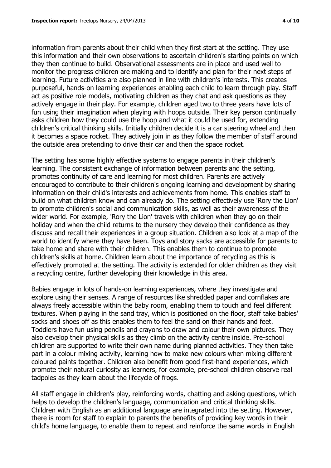information from parents about their child when they first start at the setting. They use this information and their own observations to ascertain children's starting points on which they then continue to build. Observational assessments are in place and used well to monitor the progress children are making and to identify and plan for their next steps of learning. Future activities are also planned in line with children's interests. This creates purposeful, hands-on learning experiences enabling each child to learn through play. Staff act as positive role models, motivating children as they chat and ask questions as they actively engage in their play. For example, children aged two to three years have lots of fun using their imagination when playing with hoops outside. Their key person continually asks children how they could use the hoop and what it could be used for, extending children's critical thinking skills. Initially children decide it is a car steering wheel and then it becomes a space rocket. They actively join in as they follow the member of staff around the outside area pretending to drive their car and then the space rocket.

The setting has some highly effective systems to engage parents in their children's learning. The consistent exchange of information between parents and the setting, promotes continuity of care and learning for most children. Parents are actively encouraged to contribute to their children's ongoing learning and development by sharing information on their child's interests and achievements from home. This enables staff to build on what children know and can already do. The setting effectively use 'Rory the Lion' to promote children's social and communication skills, as well as their awareness of the wider world. For example, 'Rory the Lion' travels with children when they go on their holiday and when the child returns to the nursery they develop their confidence as they discuss and recall their experiences in a group situation. Children also look at a map of the world to identify where they have been. Toys and story sacks are accessible for parents to take home and share with their children. This enables them to continue to promote children's skills at home. Children learn about the importance of recycling as this is effectively promoted at the setting. The activity is extended for older children as they visit a recycling centre, further developing their knowledge in this area.

Babies engage in lots of hands-on learning experiences, where they investigate and explore using their senses. A range of resources like shredded paper and cornflakes are always freely accessible within the baby room, enabling them to touch and feel different textures. When playing in the sand tray, which is positioned on the floor, staff take babies' socks and shoes off as this enables them to feel the sand on their hands and feet. Toddlers have fun using pencils and crayons to draw and colour their own pictures. They also develop their physical skills as they climb on the activity centre inside. Pre-school children are supported to write their own name during planned activities. They then take part in a colour mixing activity, learning how to make new colours when mixing different coloured paints together. Children also benefit from good first-hand experiences, which promote their natural curiosity as learners, for example, pre-school children observe real tadpoles as they learn about the lifecycle of frogs.

All staff engage in children's play, reinforcing words, chatting and asking questions, which helps to develop the children's language, communication and critical thinking skills. Children with English as an additional language are integrated into the setting. However, there is room for staff to explain to parents the benefits of providing key words in their child's home language, to enable them to repeat and reinforce the same words in English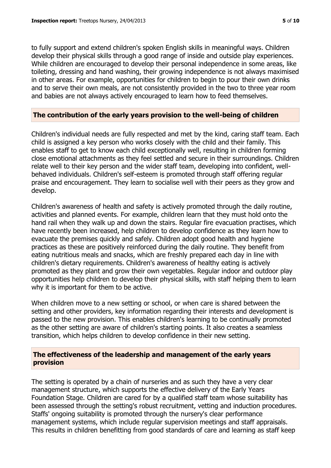to fully support and extend children's spoken English skills in meaningful ways. Children develop their physical skills through a good range of inside and outside play experiences. While children are encouraged to develop their personal independence in some areas, like toileting, dressing and hand washing, their growing independence is not always maximised in other areas. For example, opportunities for children to begin to pour their own drinks and to serve their own meals, are not consistently provided in the two to three year room and babies are not always actively encouraged to learn how to feed themselves.

#### **The contribution of the early years provision to the well-being of children**

Children's individual needs are fully respected and met by the kind, caring staff team. Each child is assigned a key person who works closely with the child and their family. This enables staff to get to know each child exceptionally well, resulting in children forming close emotional attachments as they feel settled and secure in their surroundings. Children relate well to their key person and the wider staff team, developing into confident, wellbehaved individuals. Children's self-esteem is promoted through staff offering regular praise and encouragement. They learn to socialise well with their peers as they grow and develop.

Children's awareness of health and safety is actively promoted through the daily routine, activities and planned events. For example, children learn that they must hold onto the hand rail when they walk up and down the stairs. Regular fire evacuation practises, which have recently been increased, help children to develop confidence as they learn how to evacuate the premises quickly and safely. Children adopt good health and hygiene practices as these are positively reinforced during the daily routine. They benefit from eating nutritious meals and snacks, which are freshly prepared each day in line with children's dietary requirements. Children's awareness of healthy eating is actively promoted as they plant and grow their own vegetables. Regular indoor and outdoor play opportunities help children to develop their physical skills, with staff helping them to learn why it is important for them to be active.

When children move to a new setting or school, or when care is shared between the setting and other providers, key information regarding their interests and development is passed to the new provision. This enables children's learning to be continually promoted as the other setting are aware of children's starting points. It also creates a seamless transition, which helps children to develop confidence in their new setting.

#### **The effectiveness of the leadership and management of the early years provision**

The setting is operated by a chain of nurseries and as such they have a very clear management structure, which supports the effective delivery of the Early Years Foundation Stage. Children are cared for by a qualified staff team whose suitability has been assessed through the setting's robust recruitment, vetting and induction procedures. Staffs' ongoing suitability is promoted through the nursery's clear performance management systems, which include regular supervision meetings and staff appraisals. This results in children benefitting from good standards of care and learning as staff keep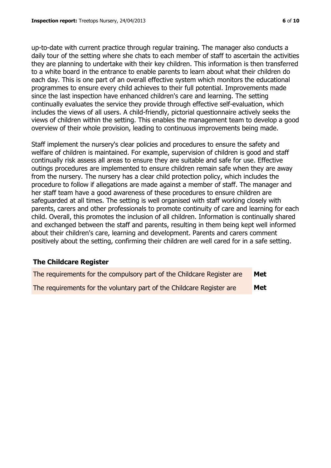up-to-date with current practice through regular training. The manager also conducts a daily tour of the setting where she chats to each member of staff to ascertain the activities they are planning to undertake with their key children. This information is then transferred to a white board in the entrance to enable parents to learn about what their children do each day. This is one part of an overall effective system which monitors the educational programmes to ensure every child achieves to their full potential. Improvements made since the last inspection have enhanced children's care and learning. The setting continually evaluates the service they provide through effective self-evaluation, which includes the views of all users. A child-friendly, pictorial questionnaire actively seeks the views of children within the setting. This enables the management team to develop a good overview of their whole provision, leading to continuous improvements being made.

Staff implement the nursery's clear policies and procedures to ensure the safety and welfare of children is maintained. For example, supervision of children is good and staff continually risk assess all areas to ensure they are suitable and safe for use. Effective outings procedures are implemented to ensure children remain safe when they are away from the nursery. The nursery has a clear child protection policy, which includes the procedure to follow if allegations are made against a member of staff. The manager and her staff team have a good awareness of these procedures to ensure children are safeguarded at all times. The setting is well organised with staff working closely with parents, carers and other professionals to promote continuity of care and learning for each child. Overall, this promotes the inclusion of all children. Information is continually shared and exchanged between the staff and parents, resulting in them being kept well informed about their children's care, learning and development. Parents and carers comment positively about the setting, confirming their children are well cared for in a safe setting.

# **The Childcare Register**

| The requirements for the compulsory part of the Childcare Register are | Met |
|------------------------------------------------------------------------|-----|
| The requirements for the voluntary part of the Childcare Register are  | Met |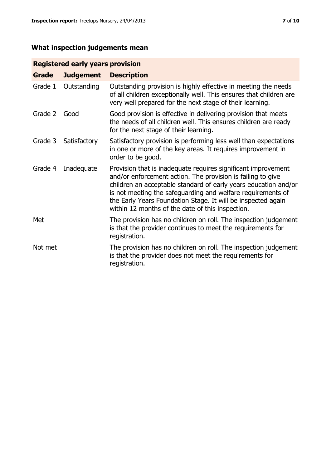# **What inspection judgements mean**

# **Registered early years provision**

| <b>Grade</b> | <b>Judgement</b> | <b>Description</b>                                                                                                                                                                                                                                                                                                                                                                 |
|--------------|------------------|------------------------------------------------------------------------------------------------------------------------------------------------------------------------------------------------------------------------------------------------------------------------------------------------------------------------------------------------------------------------------------|
| Grade 1      | Outstanding      | Outstanding provision is highly effective in meeting the needs<br>of all children exceptionally well. This ensures that children are<br>very well prepared for the next stage of their learning.                                                                                                                                                                                   |
| Grade 2      | Good             | Good provision is effective in delivering provision that meets<br>the needs of all children well. This ensures children are ready<br>for the next stage of their learning.                                                                                                                                                                                                         |
| Grade 3      | Satisfactory     | Satisfactory provision is performing less well than expectations<br>in one or more of the key areas. It requires improvement in<br>order to be good.                                                                                                                                                                                                                               |
| Grade 4      | Inadequate       | Provision that is inadequate requires significant improvement<br>and/or enforcement action. The provision is failing to give<br>children an acceptable standard of early years education and/or<br>is not meeting the safeguarding and welfare requirements of<br>the Early Years Foundation Stage. It will be inspected again<br>within 12 months of the date of this inspection. |
| Met          |                  | The provision has no children on roll. The inspection judgement<br>is that the provider continues to meet the requirements for<br>registration.                                                                                                                                                                                                                                    |
| Not met      |                  | The provision has no children on roll. The inspection judgement<br>is that the provider does not meet the requirements for<br>registration.                                                                                                                                                                                                                                        |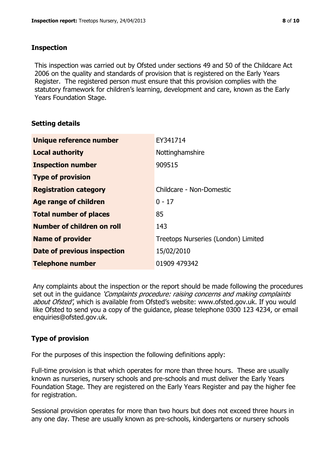## **Inspection**

This inspection was carried out by Ofsted under sections 49 and 50 of the Childcare Act 2006 on the quality and standards of provision that is registered on the Early Years Register. The registered person must ensure that this provision complies with the statutory framework for children's learning, development and care, known as the Early Years Foundation Stage.

# **Setting details**

| Unique reference number       | EY341714                            |
|-------------------------------|-------------------------------------|
| <b>Local authority</b>        | Nottinghamshire                     |
| <b>Inspection number</b>      | 909515                              |
| <b>Type of provision</b>      |                                     |
| <b>Registration category</b>  | Childcare - Non-Domestic            |
| Age range of children         | $0 - 17$                            |
| <b>Total number of places</b> | 85                                  |
| Number of children on roll    | 143                                 |
| <b>Name of provider</b>       | Treetops Nurseries (London) Limited |
| Date of previous inspection   | 15/02/2010                          |
| <b>Telephone number</b>       | 01909 479342                        |

Any complaints about the inspection or the report should be made following the procedures set out in the guidance *'Complaints procedure: raising concerns and making complaints* about Ofsted', which is available from Ofsted's website: www.ofsted.gov.uk. If you would like Ofsted to send you a copy of the guidance, please telephone 0300 123 4234, or email enquiries@ofsted.gov.uk.

# **Type of provision**

For the purposes of this inspection the following definitions apply:

Full-time provision is that which operates for more than three hours. These are usually known as nurseries, nursery schools and pre-schools and must deliver the Early Years Foundation Stage. They are registered on the Early Years Register and pay the higher fee for registration.

Sessional provision operates for more than two hours but does not exceed three hours in any one day. These are usually known as pre-schools, kindergartens or nursery schools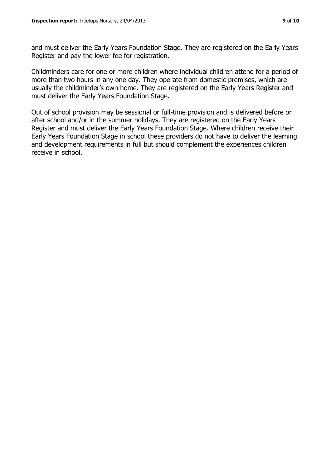and must deliver the Early Years Foundation Stage. They are registered on the Early Years Register and pay the lower fee for registration.

Childminders care for one or more children where individual children attend for a period of more than two hours in any one day. They operate from domestic premises, which are usually the childminder's own home. They are registered on the Early Years Register and must deliver the Early Years Foundation Stage.

Out of school provision may be sessional or full-time provision and is delivered before or after school and/or in the summer holidays. They are registered on the Early Years Register and must deliver the Early Years Foundation Stage. Where children receive their Early Years Foundation Stage in school these providers do not have to deliver the learning and development requirements in full but should complement the experiences children receive in school.